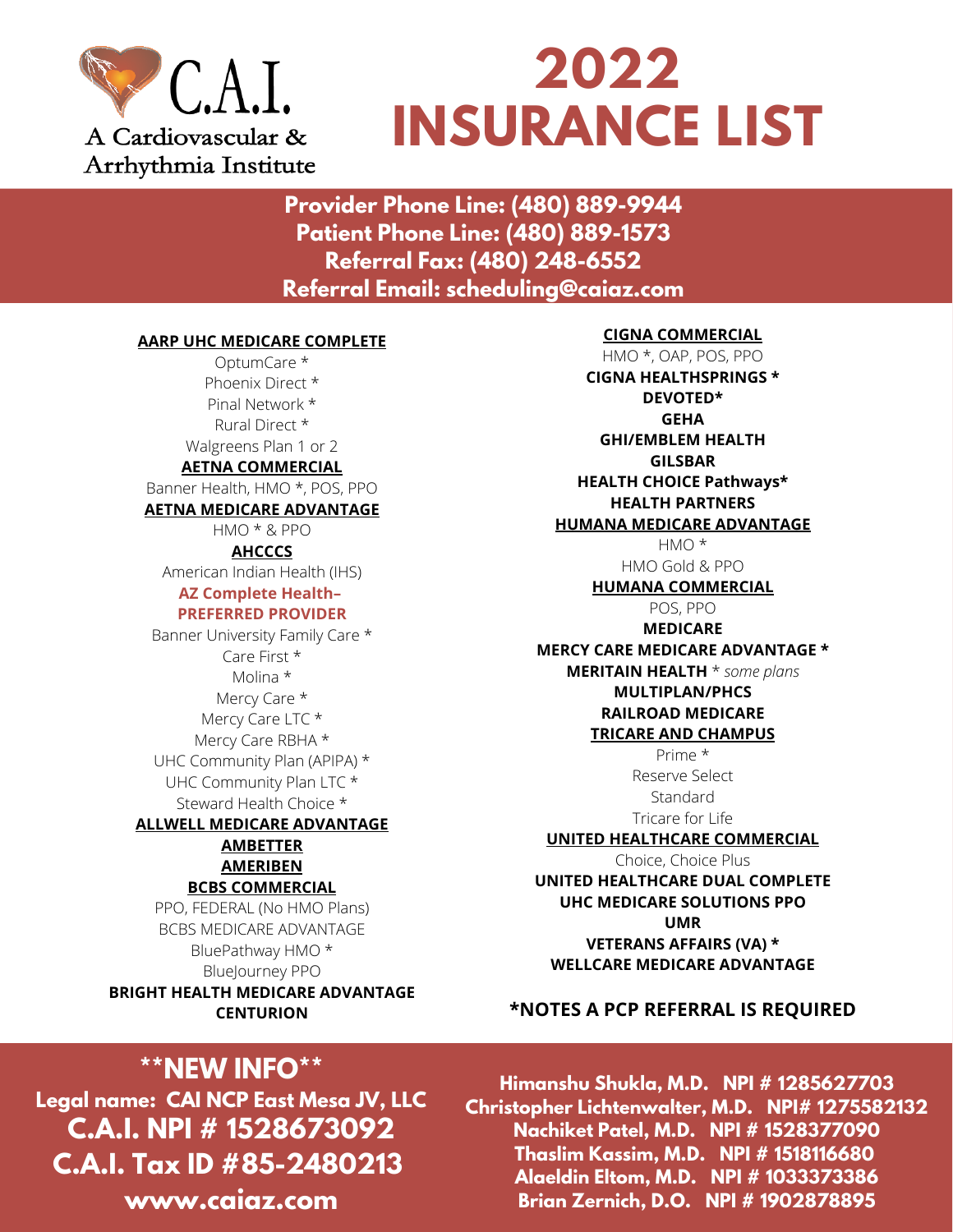

# **2022 INSURANCE LIST**

**Provider Phone Line: (480) 889-9944 Patient Phone Line: (480) 889-1573 Referral Fax: (480) 248-6552 Referral Email: scheduling@caiaz.com**

#### **AARP UHC MEDICARE COMPLETE**

OptumCare \* Phoenix Direct \* Pinal Network \* Rural Direct \* Walgreens Plan 1 or 2 **AETNA COMMERCIAL** Banner Health, HMO \*, POS, PPO

#### **AETNA MEDICARE ADVANTAGE**

HMO \* & PPO **AHCCCS**

American Indian Health (IHS) **AZ Complete Health–**

#### **PREFERRED PROVIDER**

Banner University Family Care \* Care First \* Molina \* Mercy Care \* Mercy Care LTC \* Mercy Care RBHA \* UHC Community Plan (APIPA) \* UHC Community Plan LTC \* Steward Health Choice \*

**ALLWELL MEDICARE ADVANTAGE AMBETTER AMERIBEN**

#### **BCBS COMMERCIAL**

PPO, FEDERAL (No HMO Plans) BCBS MEDICARE ADVANTAGE BluePathway HMO \* BlueJourney PPO **BRIGHT HEALTH MEDICARE ADVANTAGE CENTURION**

## **\*\*NEW INFO\*\***

**Legal name: CAI NCP East Mesa JV, LLC C.A.I. NPI # 1528673092 C.A.I. Tax ID #85-2480213 www.caiaz.com**

#### **CIGNA COMMERCIAL**

HMO \*, OAP, POS, PPO **CIGNA HEALTHSPRINGS \* DEVOTED\* GEHA GHI/EMBLEM HEALTH GILSBAR HEALTH CHOICE Pathways\* HEALTH PARTNERS HUMANA MEDICARE ADVANTAGE** HMO \*

HMO Gold & PPO

**HUMANA COMMERCIAL**

POS, PPO **MEDICARE MERCY CARE MEDICARE ADVANTAGE \* MERITAIN HEALTH** \* *some plans* **MULTIPLAN/PHCS**

#### **RAILROAD MEDICARE TRICARE AND CHAMPUS**

Prime \* Reserve Select **Standard** Tricare for Life

#### **UNITED HEALTHCARE COMMERCIAL**

Choice, Choice Plus **UNITED HEALTHCARE DUAL COMPLETE UHC MEDICARE SOLUTIONS PPO UMR VETERANS AFFAIRS (VA) \* WELLCARE MEDICARE ADVANTAGE**

#### **\*NOTES A PCP REFERRAL IS REQUIRED**

**Himanshu Shukla, M.D. NPI # 1285627703 Christopher Lichtenwalter, M.D. NPI# 1275582132 Nachiket Patel, M.D. NPI # 1528377090 Thaslim Kassim, M.D. NPI # 1518116680 Alaeldin Eltom, M.D. NPI # 1033373386 Brian Zernich, D.O. NPI # 1902878895**